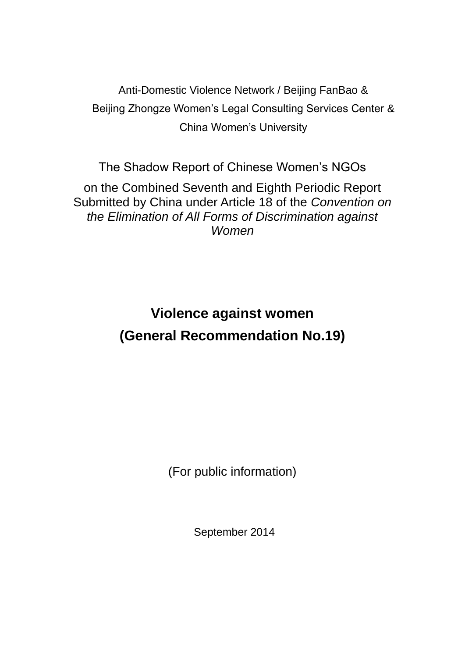Anti-Domestic Violence Network / Beijing FanBao & Beijing Zhongze Women's Legal Consulting Services Center & China Women's University

The Shadow Report of Chinese Women's NGOs

on the Combined Seventh and Eighth Periodic Report Submitted by China under Article 18 of the *Convention on the Elimination of All Forms of Discrimination against Women*

> **Violence against women (General Recommendation No.19)**

> > (For public information)

September 2014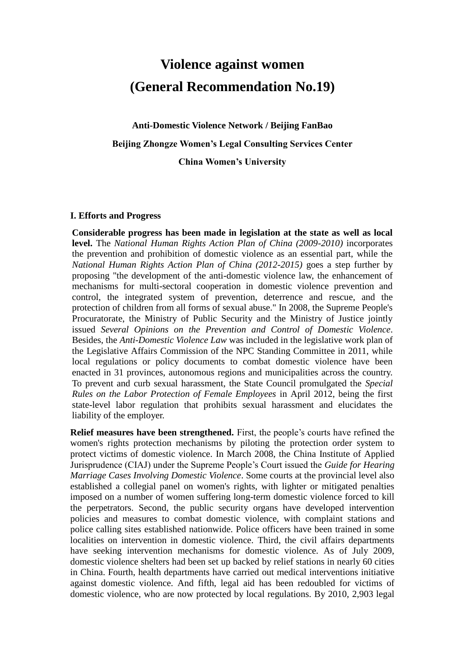# **Violence against women (General Recommendation No.19)**

**Anti-Domestic Violence Network / Beijing FanBao Beijing Zhongze Women's Legal Consulting Services Center China Women's University**

### **I. Efforts and Progress**

**Considerable progress has been made in legislation at the state as well as local level.** The *National Human Rights Action Plan of China (2009-2010)* incorporates the prevention and prohibition of domestic violence as an essential part, while the *National Human Rights Action Plan of China (2012-2015)* goes a step further by proposing "the development of the anti-domestic violence law, the enhancement of mechanisms for multi-sectoral cooperation in domestic violence prevention and control, the integrated system of prevention, deterrence and rescue, and the protection of children from all forms of sexual abuse." In 2008, the Supreme People's Procuratorate, the Ministry of Public Security and the Ministry of Justice jointly issued *Several Opinions on the Prevention and Control of Domestic Violence*. Besides, the *Anti-Domestic Violence Law* was included in the legislative work plan of the Legislative Affairs Commission of the NPC Standing Committee in 2011, while local regulations or policy documents to combat domestic violence have been enacted in 31 provinces, autonomous regions and municipalities across the country. To prevent and curb sexual harassment, the State Council promulgated the *Special Rules on the Labor Protection of Female Employees* in April 2012, being the first state-level labor regulation that prohibits sexual harassment and elucidates the liability of the employer.

**Relief measures have been strengthened.** First, the people's courts have refined the women's rights protection mechanisms by piloting the protection order system to protect victims of domestic violence. In March 2008, the China Institute of Applied Jurisprudence (CIAJ) under the Supreme People's Court issued the *Guide for Hearing Marriage Cases Involving Domestic Violence*. Some courts at the provincial level also established a collegial panel on women's rights, with lighter or mitigated penalties imposed on a number of women suffering long-term domestic violence forced to kill the perpetrators. Second, the public security organs have developed intervention policies and measures to combat domestic violence, with complaint stations and police calling sites established nationwide. Police officers have been trained in some localities on intervention in domestic violence. Third, the civil affairs departments have seeking intervention mechanisms for domestic violence. As of July 2009, domestic violence shelters had been set up backed by relief stations in nearly 60 cities in China. Fourth, health departments have carried out medical interventions initiative against domestic violence. And fifth, legal aid has been redoubled for victims of domestic violence, who are now protected by local regulations. By 2010, 2,903 legal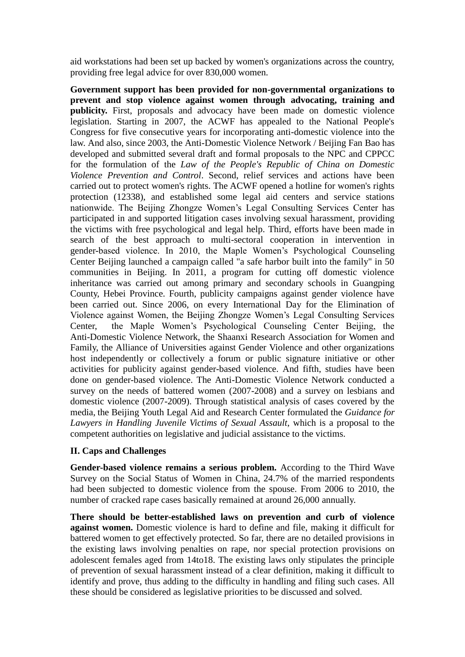aid workstations had been set up backed by women's organizations across the country, providing free legal advice for over 830,000 women.

**Government support has been provided for non-governmental organizations to prevent and stop violence against women through advocating, training and publicity.** First, proposals and advocacy have been made on domestic violence legislation. Starting in 2007, the ACWF has appealed to the National People's Congress for five consecutive years for incorporating anti-domestic violence into the law. And also, since 2003, the Anti-Domestic Violence Network / Beijing Fan Bao has developed and submitted several draft and formal proposals to the NPC and CPPCC for the formulation of the *Law of the People's Republic of China on Domestic Violence Prevention and Control*. Second, relief services and actions have been carried out to protect women's rights. The ACWF opened a hotline for women's rights protection (12338), and established some legal aid centers and service stations nationwide. The Beijing Zhongze Women's Legal Consulting Services Center has participated in and supported litigation cases involving sexual harassment, providing the victims with free psychological and legal help. Third, efforts have been made in search of the best approach to multi-sectoral cooperation in intervention in gender-based violence. In 2010, the Maple Women's Psychological Counseling Center Beijing launched a campaign called "a safe harbor built into the family" in 50 communities in Beijing. In 2011, a program for cutting off domestic violence inheritance was carried out among primary and secondary schools in Guangping County, Hebei Province. Fourth, publicity campaigns against gender violence have been carried out. Since 2006, on every International Day for the Elimination of Violence against Women, the Beijing Zhongze Women's Legal Consulting Services Center, the Maple Women's Psychological Counseling Center Beijing, the Anti-Domestic Violence Network, the Shaanxi Research Association for Women and Family, the Alliance of Universities against Gender Violence and other organizations host independently or collectively a forum or public signature initiative or other activities for publicity against gender-based violence. And fifth, studies have been done on gender-based violence. The Anti-Domestic Violence Network conducted a survey on the needs of battered women (2007-2008) and a survey on lesbians and domestic violence (2007-2009). Through statistical analysis of cases covered by the media, the Beijing Youth Legal Aid and Research Center formulated the *Guidance for Lawyers in Handling Juvenile Victims of Sexual Assault*, which is a proposal to the competent authorities on legislative and judicial assistance to the victims.

### **II. Caps and Challenges**

**Gender-based violence remains a serious problem.** According to the Third Wave Survey on the Social Status of Women in China, 24.7% of the married respondents had been subjected to domestic violence from the spouse. From 2006 to 2010, the number of cracked rape cases basically remained at around 26,000 annually.

**There should be better-established laws on prevention and curb of violence against women.** Domestic violence is hard to define and file, making it difficult for battered women to get effectively protected. So far, there are no detailed provisions in the existing laws involving penalties on rape, nor special protection provisions on adolescent females aged from 14to18. The existing laws only stipulates the principle of prevention of sexual harassment instead of a clear definition, making it difficult to identify and prove, thus adding to the difficulty in handling and filing such cases. All these should be considered as legislative priorities to be discussed and solved.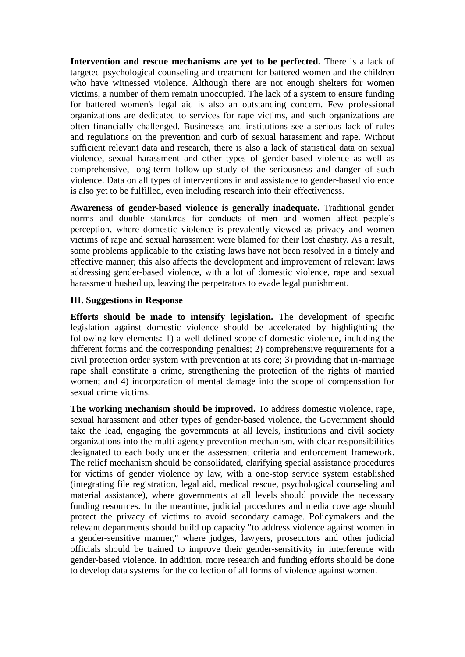**Intervention and rescue mechanisms are yet to be perfected.** There is a lack of targeted psychological counseling and treatment for battered women and the children who have witnessed violence. Although there are not enough shelters for women victims, a number of them remain unoccupied. The lack of a system to ensure funding for battered women's legal aid is also an outstanding concern. Few professional organizations are dedicated to services for rape victims, and such organizations are often financially challenged. Businesses and institutions see a serious lack of rules and regulations on the prevention and curb of sexual harassment and rape. Without sufficient relevant data and research, there is also a lack of statistical data on sexual violence, sexual harassment and other types of gender-based violence as well as comprehensive, long-term follow-up study of the seriousness and danger of such violence. Data on all types of interventions in and assistance to gender-based violence is also yet to be fulfilled, even including research into their effectiveness.

**Awareness of gender-based violence is generally inadequate.** Traditional gender norms and double standards for conducts of men and women affect people's perception, where domestic violence is prevalently viewed as privacy and women victims of rape and sexual harassment were blamed for their lost chastity. As a result, some problems applicable to the existing laws have not been resolved in a timely and effective manner; this also affects the development and improvement of relevant laws addressing gender-based violence, with a lot of domestic violence, rape and sexual harassment hushed up, leaving the perpetrators to evade legal punishment.

### **III. Suggestions in Response**

**Efforts should be made to intensify legislation.** The development of specific legislation against domestic violence should be accelerated by highlighting the following key elements: 1) a well-defined scope of domestic violence, including the different forms and the corresponding penalties; 2) comprehensive requirements for a civil protection order system with prevention at its core; 3) providing that in-marriage rape shall constitute a crime, strengthening the protection of the rights of married women; and 4) incorporation of mental damage into the scope of compensation for sexual crime victims.

**The working mechanism should be improved.** To address domestic violence, rape, sexual harassment and other types of gender-based violence, the Government should take the lead, engaging the governments at all levels, institutions and civil society organizations into the multi-agency prevention mechanism, with clear responsibilities designated to each body under the assessment criteria and enforcement framework. The relief mechanism should be consolidated, clarifying special assistance procedures for victims of gender violence by law, with a one-stop service system established (integrating file registration, legal aid, medical rescue, psychological counseling and material assistance), where governments at all levels should provide the necessary funding resources. In the meantime, judicial procedures and media coverage should protect the privacy of victims to avoid secondary damage. Policymakers and the relevant departments should build up capacity "to address violence against women in a gender-sensitive manner," where judges, lawyers, prosecutors and other judicial officials should be trained to improve their gender-sensitivity in interference with gender-based violence. In addition, more research and funding efforts should be done to develop data systems for the collection of all forms of violence against women.